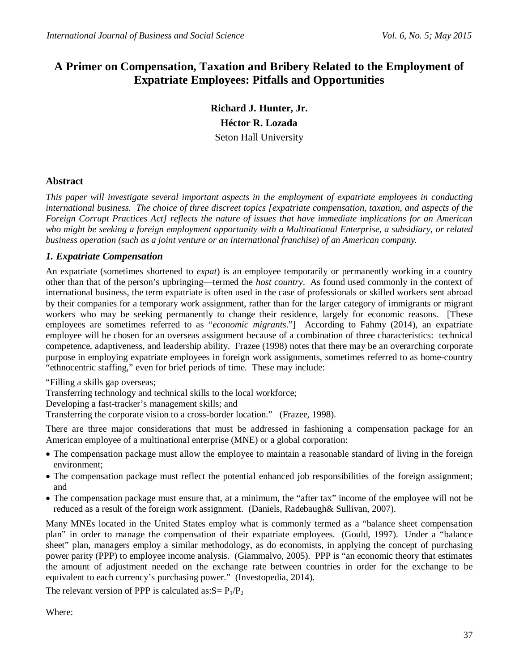# **A Primer on Compensation, Taxation and Bribery Related to the Employment of Expatriate Employees: Pitfalls and Opportunities**

**Richard J. Hunter, Jr. Héctor R. Lozada** Seton Hall University

## **Abstract**

*This paper will investigate several important aspects in the employment of expatriate employees in conducting international business. The choice of three discreet topics [expatriate compensation, taxation, and aspects of the Foreign Corrupt Practices Act] reflects the nature of issues that have immediate implications for an American who might be seeking a foreign employment opportunity with a Multinational Enterprise, a subsidiary, or related business operation (such as a joint venture or an international franchise) of an American company.*

## *1. Expatriate Compensation*

An expatriate (sometimes shortened to *expat*) is an employee temporarily or permanently working in a country other than that of the person's upbringing—termed the *host country*. As found used commonly in the context of international business, the term expatriate is often used in the case of professionals or skilled workers sent abroad by their companies for a temporary work assignment, rather than for the larger category of immigrants or migrant workers who may be seeking permanently to change their residence, largely for economic reasons. [These employees are sometimes referred to as "*economic migrants*."] According to Fahmy (2014), an expatriate employee will be chosen for an overseas assignment because of a combination of three characteristics: technical competence, adaptiveness, and leadership ability. Frazee (1998) notes that there may be an overarching corporate purpose in employing expatriate employees in foreign work assignments, sometimes referred to as home-country "ethnocentric staffing," even for brief periods of time. These may include:

"Filling a skills gap overseas;

Transferring technology and technical skills to the local workforce;

Developing a fast-tracker's management skills; and

Transferring the corporate vision to a cross-border location." (Frazee, 1998).

There are three major considerations that must be addressed in fashioning a compensation package for an American employee of a multinational enterprise (MNE) or a global corporation:

- The compensation package must allow the employee to maintain a reasonable standard of living in the foreign environment;
- The compensation package must reflect the potential enhanced job responsibilities of the foreign assignment; and
- The compensation package must ensure that, at a minimum, the "after tax" income of the employee will not be reduced as a result of the foreign work assignment. (Daniels, Radebaugh& Sullivan, 2007).

Many MNEs located in the United States employ what is commonly termed as a "balance sheet compensation plan" in order to manage the compensation of their expatriate employees. (Gould, 1997). Under a "balance sheet" plan, managers employ a similar methodology, as do economists, in applying the concept of purchasing power parity (PPP) to employee income analysis. (Giammalvo, 2005). PPP is "an economic theory that estimates the amount of adjustment needed on the exchange rate between countries in order for the exchange to be equivalent to each currency's purchasing power." (Investopedia, 2014).

The relevant version of PPP is calculated as: $S = P_1/P_2$ 

Where: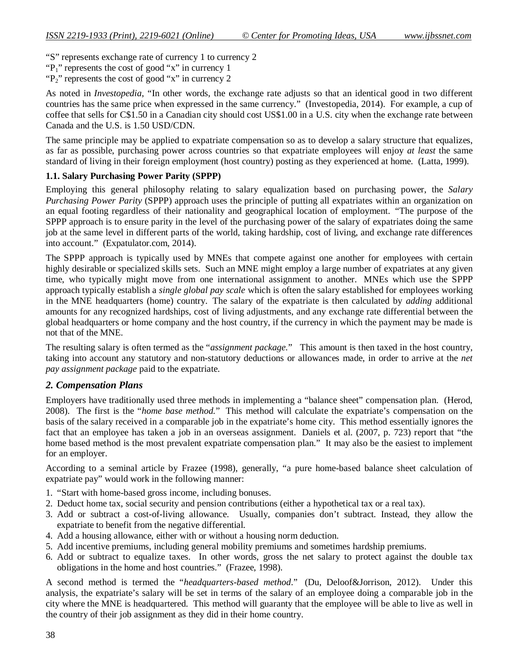"S" represents exchange rate of currency 1 to currency 2

"P<sub>1</sub>" represents the cost of good "x" in currency 1

" $P_2$ " represents the cost of good "x" in currency 2

As noted in *Investopedia*, "In other words, the exchange rate adjusts so that an identical good in two different countries has the same price when expressed in the same currency." (Investopedia, 2014). For example, a cup of coffee that sells for C\$1.50 in a Canadian city should cost US\$1.00 in a U.S. city when the exchange rate between Canada and the U.S. is 1.50 USD/CDN.

The same principle may be applied to expatriate compensation so as to develop a salary structure that equalizes, as far as possible, purchasing power across countries so that expatriate employees will enjoy *at least* the same standard of living in their foreign employment (host country) posting as they experienced at home. (Latta, 1999).

### **1.1. Salary Purchasing Power Parity (SPPP)**

Employing this general philosophy relating to salary equalization based on purchasing power, the *Salary Purchasing Power Parity* (SPPP) approach uses the principle of putting all expatriates within an organization on an equal footing regardless of their nationality and geographical location of employment. "The purpose of the SPPP approach is to ensure parity in the level of the purchasing power of the salary of expatriates doing the same job at the same level in different parts of the world, taking hardship, cost of living, and exchange rate differences into account." (Expatulator.com, 2014).

The SPPP approach is typically used by MNEs that compete against one another for employees with certain highly desirable or specialized skills sets. Such an MNE might employ a large number of expatriates at any given time, who typically might move from one international assignment to another. MNEs which use the SPPP approach typically establish a *single global pay scale* which is often the salary established for employees working in the MNE headquarters (home) country. The salary of the expatriate is then calculated by *adding* additional amounts for any recognized hardships, cost of living adjustments, and any exchange rate differential between the global headquarters or home company and the host country, if the currency in which the payment may be made is not that of the MNE.

The resulting salary is often termed as the "*assignment package.*" This amount is then taxed in the host country, taking into account any statutory and non-statutory deductions or allowances made, in order to arrive at the *net pay assignment package* paid to the expatriate.

### *2. Compensation Plans*

Employers have traditionally used three methods in implementing a "balance sheet" compensation plan. (Herod, 2008). The first is the "*home base method.*" This method will calculate the expatriate's compensation on the basis of the salary received in a comparable job in the expatriate's home city. This method essentially ignores the fact that an employee has taken a job in an overseas assignment. Daniels et al. (2007, p. 723) report that "the home based method is the most prevalent expatriate compensation plan." It may also be the easiest to implement for an employer.

According to a seminal article by Frazee (1998), generally, "a pure home-based balance sheet calculation of expatriate pay" would work in the following manner:

- 1. "Start with home-based gross income, including bonuses.
- 2. Deduct home tax, social security and pension contributions (either a hypothetical tax or a real tax).
- 3. Add or subtract a cost-of-living allowance. Usually, companies don't subtract. Instead, they allow the expatriate to benefit from the negative differential.
- 4. Add a housing allowance, either with or without a housing norm deduction.
- 5. Add incentive premiums, including general mobility premiums and sometimes hardship premiums.
- 6. Add or subtract to equalize taxes. In other words, gross the net salary to protect against the double tax obligations in the home and host countries." (Frazee, 1998).

A second method is termed the "*headquarters-based method*." (Du, Deloof&Jorrison, 2012). Under this analysis, the expatriate's salary will be set in terms of the salary of an employee doing a comparable job in the city where the MNE is headquartered. This method will guaranty that the employee will be able to live as well in the country of their job assignment as they did in their home country.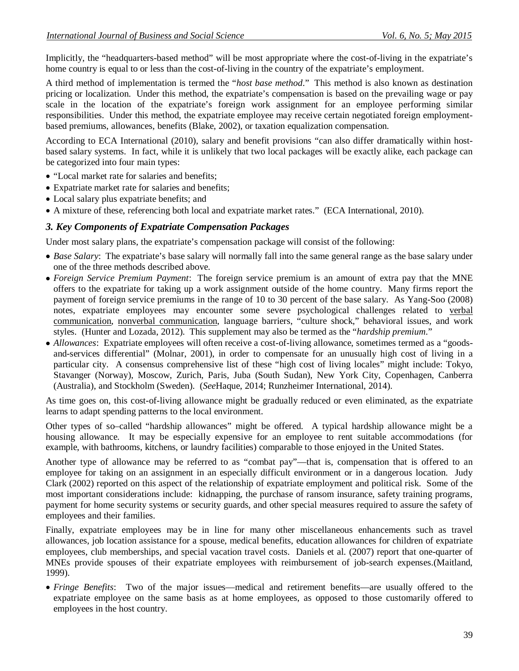Implicitly, the "headquarters-based method" will be most appropriate where the cost-of-living in the expatriate's home country is equal to or less than the cost-of-living in the country of the expatriate's employment.

A third method of implementation is termed the "*host base method*." This method is also known as destination pricing or localization. Under this method, the expatriate's compensation is based on the prevailing wage or pay scale in the location of the expatriate's foreign work assignment for an employee performing similar responsibilities. Under this method, the expatriate employee may receive certain negotiated foreign employmentbased premiums, allowances, benefits (Blake, 2002), or taxation equalization compensation.

According to ECA International (2010), salary and benefit provisions "can also differ dramatically within hostbased salary systems. In fact, while it is unlikely that two local packages will be exactly alike, each package can be categorized into four main types:

- "Local market rate for salaries and benefits;
- Expatriate market rate for salaries and benefits;
- Local salary plus expatriate benefits; and
- A mixture of these, referencing both local and expatriate market rates." (ECA International, 2010).

## *3. Key Components of Expatriate Compensation Packages*

Under most salary plans, the expatriate's compensation package will consist of the following:

- *Base Salary*: The expatriate's base salary will normally fall into the same general range as the base salary under one of the three methods described above.
- *Foreign Service Premium Payment*: The foreign service premium is an amount of extra pay that the MNE offers to the expatriate for taking up a work assignment outside of the home country. Many firms report the payment of foreign service premiums in the range of 10 to 30 percent of the base salary. As Yang-Soo (2008) notes, expatriate employees may encounter some severe psychological challenges related to verbal communication, nonverbal communication, language barriers, "culture shock," behavioral issues, and work styles. (Hunter and Lozada, 2012). This supplement may also be termed as the "*hardship premium*."
- *Allowances*: Expatriate employees will often receive a cost-of-living allowance, sometimes termed as a "goodsand-services differential" (Molnar, 2001), in order to compensate for an unusually high cost of living in a particular city. A consensus comprehensive list of these "high cost of living locales" might include: Tokyo, Stavanger (Norway), Moscow, Zurich, Paris, Juba (South Sudan), New York City, Copenhagen, Canberra (Australia), and Stockholm (Sweden). (*See*Haque, 2014; Runzheimer International, 2014).

As time goes on, this cost-of-living allowance might be gradually reduced or even eliminated, as the expatriate learns to adapt spending patterns to the local environment.

Other types of so–called "hardship allowances" might be offered. A typical hardship allowance might be a housing allowance. It may be especially expensive for an employee to rent suitable accommodations (for example, with bathrooms, kitchens, or laundry facilities) comparable to those enjoyed in the United States.

Another type of allowance may be referred to as "combat pay"—that is, compensation that is offered to an employee for taking on an assignment in an especially difficult environment or in a dangerous location. Judy Clark (2002) reported on this aspect of the relationship of expatriate employment and political risk. Some of the most important considerations include: kidnapping, the purchase of ransom insurance, safety training programs, payment for home security systems or security guards, and other special measures required to assure the safety of employees and their families.

Finally, expatriate employees may be in line for many other miscellaneous enhancements such as travel allowances, job location assistance for a spouse, medical benefits, education allowances for children of expatriate employees, club memberships, and special vacation travel costs. Daniels et al. (2007) report that one-quarter of MNEs provide spouses of their expatriate employees with reimbursement of job-search expenses.(Maitland, 1999).

 *Fringe Benefits*: Two of the major issues—medical and retirement benefits—are usually offered to the expatriate employee on the same basis as at home employees, as opposed to those customarily offered to employees in the host country.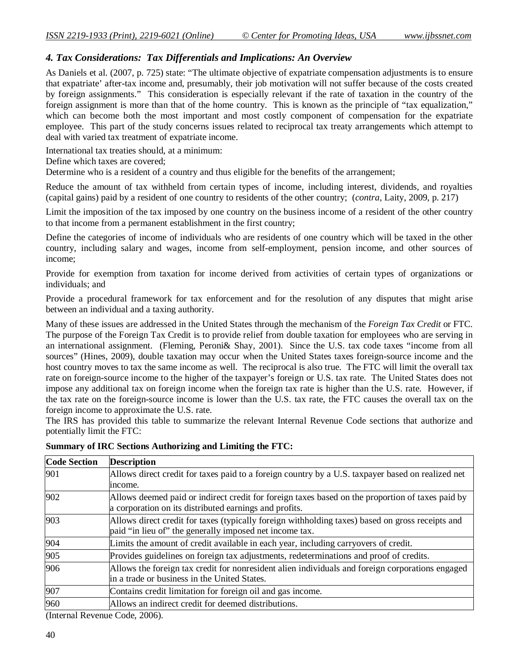## *4. Tax Considerations: Tax Differentials and Implications: An Overview*

As Daniels et al. (2007, p. 725) state: "The ultimate objective of expatriate compensation adjustments is to ensure that expatriate' after-tax income and, presumably, their job motivation will not suffer because of the costs created by foreign assignments." This consideration is especially relevant if the rate of taxation in the country of the foreign assignment is more than that of the home country. This is known as the principle of "tax equalization," which can become both the most important and most costly component of compensation for the expatriate employee. This part of the study concerns issues related to reciprocal tax treaty arrangements which attempt to deal with varied tax treatment of expatriate income.

International tax treaties should, at a minimum:

Define which taxes are covered;

Determine who is a resident of a country and thus eligible for the benefits of the arrangement;

Reduce the amount of tax withheld from certain types of income, including interest, dividends, and royalties (capital gains) paid by a resident of one country to residents of the other country; (*contra*, Laity, 2009, p. 217)

Limit the imposition of the tax imposed by one country on the business income of a resident of the other country to that income from a permanent establishment in the first country;

Define the categories of income of individuals who are residents of one country which will be taxed in the other country, including salary and wages, income from self-employment, pension income, and other sources of income;

Provide for exemption from taxation for income derived from activities of certain types of organizations or individuals; and

Provide a procedural framework for tax enforcement and for the resolution of any disputes that might arise between an individual and a taxing authority.

Many of these issues are addressed in the United States through the mechanism of the *Foreign Tax Credit* or FTC. The purpose of the Foreign Tax Credit is to provide relief from double taxation for employees who are serving in an international assignment. (Fleming, Peroni& Shay, 2001). Since the U.S. tax code taxes "income from all sources" (Hines, 2009), double taxation may occur when the United States taxes foreign-source income and the host country moves to tax the same income as well. The reciprocal is also true. The FTC will limit the overall tax rate on foreign-source income to the higher of the taxpayer's foreign or U.S. tax rate. The United States does not impose any additional tax on foreign income when the foreign tax rate is higher than the U.S. rate. However, if the tax rate on the foreign-source income is lower than the U.S. tax rate, the FTC causes the overall tax on the foreign income to approximate the U.S. rate.

The IRS has provided this table to summarize the relevant Internal Revenue Code sections that authorize and potentially limit the FTC:

| <b>Code Section</b>   | <b>Description</b>                                                                                                                                          |
|-----------------------|-------------------------------------------------------------------------------------------------------------------------------------------------------------|
| 901                   | Allows direct credit for taxes paid to a foreign country by a U.S. taxpayer based on realized net                                                           |
|                       | income.                                                                                                                                                     |
| 902                   | Allows deemed paid or indirect credit for foreign taxes based on the proportion of taxes paid by<br>a corporation on its distributed earnings and profits.  |
| 903                   | Allows direct credit for taxes (typically foreign withholding taxes) based on gross receipts and<br>paid "in lieu of" the generally imposed net income tax. |
| 904                   | Limits the amount of credit available in each year, including carryovers of credit.                                                                         |
| 905                   | Provides guidelines on foreign tax adjustments, redeterminations and proof of credits.                                                                      |
| 906                   | Allows the foreign tax credit for nonresident alien individuals and foreign corporations engaged<br>in a trade or business in the United States.            |
| 907                   | Contains credit limitation for foreign oil and gas income.                                                                                                  |
| 960                   | Allows an indirect credit for deemed distributions.                                                                                                         |
| $(Intomol)$ $Daysonu$ |                                                                                                                                                             |

**Summary of IRC Sections Authorizing and Limiting the FTC:** 

(Internal Revenue Code, 2006).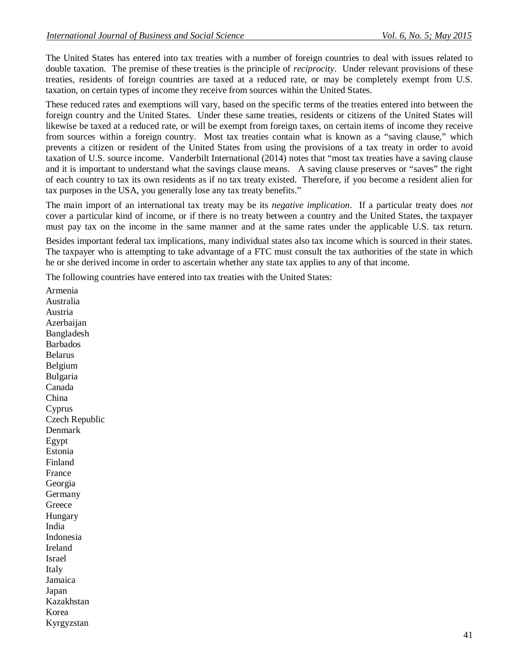The United States has entered into tax treaties with a number of foreign countries to deal with issues related to double taxation. The premise of these treaties is the principle of *reciprocity*. Under relevant provisions of these treaties, residents of foreign countries are taxed at a reduced rate, or may be completely exempt from U.S. taxation, on certain types of income they receive from sources within the United States.

These reduced rates and exemptions will vary, based on the specific terms of the treaties entered into between the foreign country and the United States. Under these same treaties, residents or citizens of the United States will likewise be taxed at a reduced rate, or will be exempt from foreign taxes, on certain items of income they receive from sources within a foreign country. Most tax treaties contain what is known as a "saving clause," which prevents a citizen or resident of the United States from using the provisions of a tax treaty in order to avoid taxation of U.S. source income. Vanderbilt International (2014) notes that "most tax treaties have a saving clause and it is important to understand what the savings clause means. A saving clause preserves or "saves" the right of each country to tax its own residents as if no tax treaty existed. Therefore, if you become a resident alien for tax purposes in the USA, you generally lose any tax treaty benefits."

The main import of an international tax treaty may be its *negative implication*. If a particular treaty does *not* cover a particular kind of income, or if there is no treaty between a country and the United States, the taxpayer must pay tax on the income in the same manner and at the same rates under the applicable U.S. tax return.

Besides important federal tax implications, many individual states also tax income which is sourced in their states. The taxpayer who is attempting to take advantage of a FTC must consult the tax authorities of the state in which he or she derived income in order to ascertain whether any state tax applies to any of that income.

The following countries have entered into tax treaties with the United States:

Armenia Australia Austria Azerbaijan Bangladesh Barbados Belarus Belgium Bulgaria Canada China Cyprus Czech Republic Denmark Egypt Estonia Finland France Georgia Germany **Greece** Hungary India Indonesia Ireland Israel Italy Jamaica Japan Kazakhstan Korea Kyrgyzstan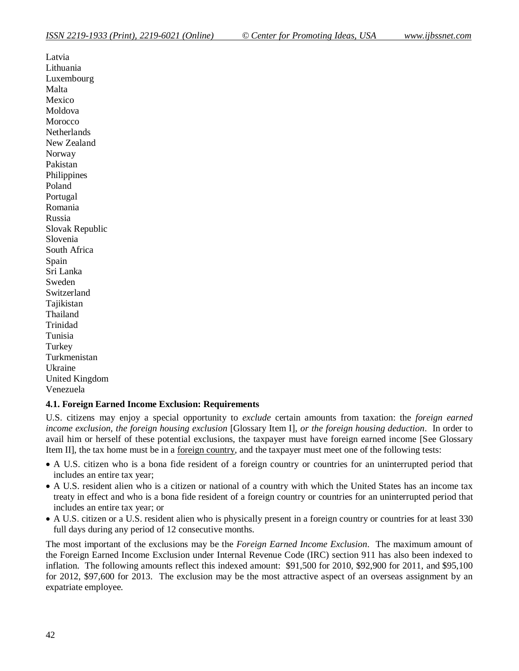| Latvia                |
|-----------------------|
| Lithuania             |
| Luxembourg            |
| Malta                 |
| Mexico                |
| Moldova               |
| Morocco               |
| Netherlands           |
| New Zealand           |
| Norway                |
| Pakistan              |
| Philippines           |
| Poland                |
| Portugal              |
| Romania               |
| Russia                |
| Slovak Republic       |
| Slovenia              |
| South Africa          |
| Spain                 |
| Sri Lanka             |
| Sweden                |
| Switzerland           |
| Tajikistan            |
| Thailand              |
| Trinidad              |
| Tunisia               |
| Turkey                |
| Turkmenistan          |
| Ukraine               |
| <b>United Kingdom</b> |
| Venezuela             |

### **4.1. Foreign Earned Income Exclusion: Requirements**

U.S. citizens may enjoy a special opportunity to *exclude* certain amounts from taxation: the *foreign earned income exclusion, the foreign housing exclusion* [Glossary Item I], *or the foreign housing deduction*. In order to avail him or herself of these potential exclusions, the taxpayer must have foreign earned income [See Glossary Item II], the tax home must be in a <u>foreign country</u>, and the taxpayer must meet one of the following tests:

- A U.S. citizen who is a bona fide resident of a foreign country or countries for an uninterrupted period that includes an entire tax year;
- A U.S. resident alien who is a citizen or national of a country with which the United States has an income tax treaty in effect and who is a bona fide resident of a foreign country or countries for an uninterrupted period that includes an entire tax year; or
- A U.S. citizen or a U.S. resident alien who is physically present in a foreign country or countries for at least 330 full days during any period of 12 consecutive months.

The most important of the exclusions may be the *Foreign Earned Income Exclusion*. The maximum amount of the Foreign Earned Income Exclusion under Internal Revenue Code (IRC) section 911 has also been indexed to inflation. The following amounts reflect this indexed amount: \$91,500 for 2010, \$92,900 for 2011, and \$95,100 for 2012, \$97,600 for 2013. The exclusion may be the most attractive aspect of an overseas assignment by an expatriate employee.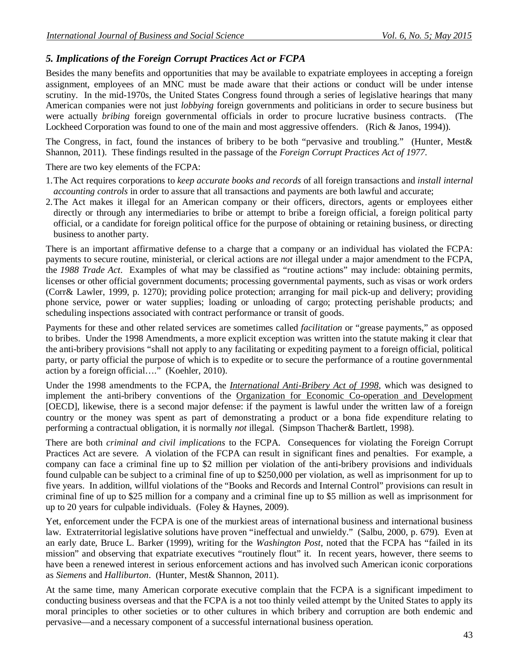## *5. Implications of the Foreign Corrupt Practices Act or FCPA*

Besides the many benefits and opportunities that may be available to expatriate employees in accepting a foreign assignment, employees of an MNC must be made aware that their actions or conduct will be under intense scrutiny. In the mid-1970s, the United States Congress found through a series of legislative hearings that many American companies were not just *lobbying* foreign governments and politicians in order to secure business but were actually *bribing* foreign governmental officials in order to procure lucrative business contracts. (The Lockheed Corporation was found to one of the main and most aggressive offenders. (Rich & Janos, 1994)).

The Congress, in fact, found the instances of bribery to be both "pervasive and troubling." (Hunter, Mest& Shannon, 2011). These findings resulted in the passage of the *Foreign Corrupt Practices Act of 1977*.

There are two key elements of the FCPA:

- 1.The Act requires corporations to *keep accurate books and records* of all foreign transactions and *install internal accounting controls* in order to assure that all transactions and payments are both lawful and accurate;
- 2.The Act makes it illegal for an American company or their officers, directors, agents or employees either directly or through any intermediaries to bribe or attempt to bribe a foreign official, a foreign political party official, or a candidate for foreign political office for the purpose of obtaining or retaining business, or directing business to another party.

There is an important affirmative defense to a charge that a company or an individual has violated the FCPA: payments to secure routine, ministerial, or clerical actions are *not* illegal under a major amendment to the FCPA, the *1988 Trade Act*. Examples of what may be classified as "routine actions" may include: obtaining permits, licenses or other official government documents; processing governmental payments, such as visas or work orders (Corr& Lawler, 1999, p. 1270); providing police protection; arranging for mail pick-up and delivery; providing phone service, power or water supplies; loading or unloading of cargo; protecting perishable products; and scheduling inspections associated with contract performance or transit of goods.

Payments for these and other related services are sometimes called *facilitation* or "grease payments," as opposed to bribes. Under the 1998 Amendments, a more explicit exception was written into the statute making it clear that the anti-bribery provisions "shall not apply to any facilitating or expediting payment to a foreign official, political party, or party official the purpose of which is to expedite or to secure the performance of a routine governmental action by a foreign official…." (Koehler, 2010).

Under the 1998 amendments to the FCPA, the *International Anti-Bribery Act of 1998*, which was designed to implement the anti-bribery conventions of the Organization for Economic Co-operation and Development [OECD], likewise, there is a second major defense: if the payment is lawful under the written law of a foreign country or the money was spent as part of demonstrating a product or a bona fide expenditure relating to performing a contractual obligation, it is normally *not* illegal. (Simpson Thacher& Bartlett, 1998).

There are both *criminal and civil implications* to the FCPA. Consequences for violating the Foreign Corrupt Practices Act are severe. A violation of the FCPA can result in significant fines and penalties. For example, a company can face a criminal fine up to \$2 million per violation of the anti-bribery provisions and individuals found culpable can be subject to a criminal fine of up to \$250,000 per violation, as well as imprisonment for up to five years. In addition, willful violations of the "Books and Records and Internal Control" provisions can result in criminal fine of up to \$25 million for a company and a criminal fine up to \$5 million as well as imprisonment for up to 20 years for culpable individuals. (Foley & Haynes, 2009).

Yet, enforcement under the FCPA is one of the murkiest areas of international business and international business law. Extraterritorial legislative solutions have proven "ineffectual and unwieldy." (Salbu, 2000, p. 679). Even at an early date, Bruce L. Barker (1999), writing for the *Washington Post*, noted that the FCPA has "failed in its mission" and observing that expatriate executives "routinely flout" it. In recent years, however, there seems to have been a renewed interest in serious enforcement actions and has involved such American iconic corporations as *Siemens* and *Halliburton*. (Hunter, Mest& Shannon, 2011).

At the same time, many American corporate executive complain that the FCPA is a significant impediment to conducting business overseas and that the FCPA is a not too thinly veiled attempt by the United States to apply its moral principles to other societies or to other cultures in which bribery and corruption are both endemic and pervasive—and a necessary component of a successful international business operation.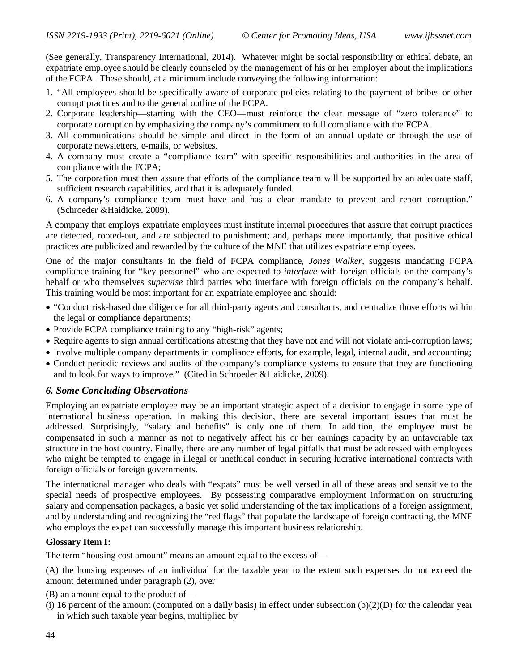(See generally, Transparency International, 2014). Whatever might be social responsibility or ethical debate, an expatriate employee should be clearly counseled by the management of his or her employer about the implications of the FCPA. These should, at a minimum include conveying the following information:

- 1. "All employees should be specifically aware of corporate policies relating to the payment of bribes or other corrupt practices and to the general outline of the FCPA.
- 2. Corporate leadership—starting with the CEO—must reinforce the clear message of "zero tolerance" to corporate corruption by emphasizing the company's commitment to full compliance with the FCPA.
- 3. All communications should be simple and direct in the form of an annual update or through the use of corporate newsletters, e-mails, or websites.
- 4. A company must create a "compliance team" with specific responsibilities and authorities in the area of compliance with the FCPA;
- 5. The corporation must then assure that efforts of the compliance team will be supported by an adequate staff, sufficient research capabilities, and that it is adequately funded.
- 6. A company's compliance team must have and has a clear mandate to prevent and report corruption." (Schroeder &Haidicke, 2009).

A company that employs expatriate employees must institute internal procedures that assure that corrupt practices are detected, rooted-out, and are subjected to punishment; and, perhaps more importantly, that positive ethical practices are publicized and rewarded by the culture of the MNE that utilizes expatriate employees.

One of the major consultants in the field of FCPA compliance, *Jones Walker*, suggests mandating FCPA compliance training for "key personnel" who are expected to *interface* with foreign officials on the company's behalf or who themselves *supervise* third parties who interface with foreign officials on the company's behalf. This training would be most important for an expatriate employee and should:

- "Conduct risk-based due diligence for all third-party agents and consultants, and centralize those efforts within the legal or compliance departments;
- Provide FCPA compliance training to any "high-risk" agents;
- Require agents to sign annual certifications attesting that they have not and will not violate anti-corruption laws;
- Involve multiple company departments in compliance efforts, for example, legal, internal audit, and accounting;
- Conduct periodic reviews and audits of the company's compliance systems to ensure that they are functioning and to look for ways to improve." (Cited in Schroeder &Haidicke, 2009).

## *6. Some Concluding Observations*

Employing an expatriate employee may be an important strategic aspect of a decision to engage in some type of international business operation. In making this decision, there are several important issues that must be addressed. Surprisingly, "salary and benefits" is only one of them. In addition, the employee must be compensated in such a manner as not to negatively affect his or her earnings capacity by an unfavorable tax structure in the host country. Finally, there are any number of legal pitfalls that must be addressed with employees who might be tempted to engage in illegal or unethical conduct in securing lucrative international contracts with foreign officials or foreign governments.

The international manager who deals with "expats" must be well versed in all of these areas and sensitive to the special needs of prospective employees. By possessing comparative employment information on structuring salary and compensation packages, a basic yet solid understanding of the tax implications of a foreign assignment, and by understanding and recognizing the "red flags" that populate the landscape of foreign contracting, the MNE who employs the expat can successfully manage this important business relationship.

### **Glossary Item I:**

The term "housing cost amount" means an amount equal to the excess of—

(A) the housing expenses of an individual for the taxable year to the extent such expenses do not exceed the amount determined under paragraph (2), over

(B) an amount equal to the product of—

(i) 16 percent of the amount (computed on a daily basis) in effect under subsection  $(b)(2)(D)$  for the calendar year in which such taxable year begins, multiplied by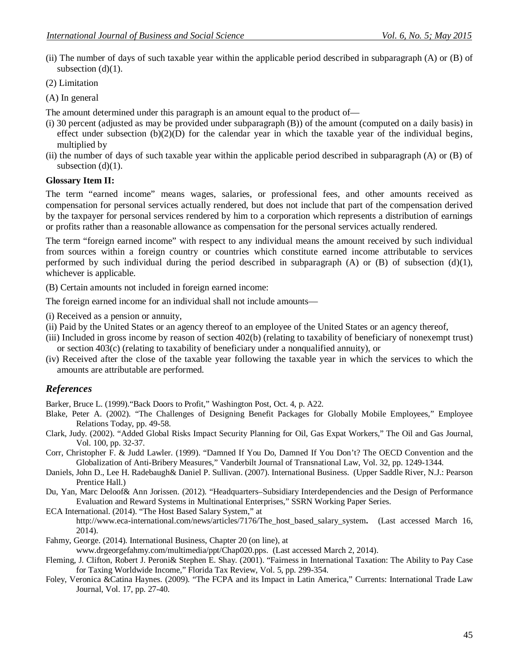- (ii) The number of days of such taxable year within the applicable period described in subparagraph (A) or (B) of subsection  $(d)(1)$ .
- (2) Limitation
- (A) In general
- The amount determined under this paragraph is an amount equal to the product of—
- (i) 30 percent (adjusted as may be provided under subparagraph (B)) of the amount (computed on a daily basis) in effect under subsection  $(b)(2)(D)$  for the calendar year in which the taxable year of the individual begins, multiplied by
- (ii) the number of days of such taxable year within the applicable period described in subparagraph (A) or (B) of subsection  $(d)(1)$ .

#### **Glossary Item II:**

The term "earned income" means wages, salaries, or professional fees, and other amounts received as compensation for personal services actually rendered, but does not include that part of the compensation derived by the taxpayer for personal services rendered by him to a corporation which represents a distribution of earnings or profits rather than a reasonable allowance as compensation for the personal services actually rendered.

The term "foreign earned income" with respect to any individual means the amount received by such individual from sources within a foreign country or countries which constitute earned income attributable to services performed by such individual during the period described in subparagraph (A) or (B) of subsection (d)(1), whichever is applicable.

(B) Certain amounts not included in foreign earned income:

The foreign earned income for an individual shall not include amounts—

(i) Received as a pension or annuity,

- (ii) Paid by the United States or an agency thereof to an employee of the United States or an agency thereof,
- (iii) Included in gross income by reason of section 402(b) (relating to taxability of beneficiary of nonexempt trust) or section  $403(c)$  (relating to taxability of beneficiary under a nonqualified annuity), or
- (iv) Received after the close of the taxable year following the taxable year in which the services to which the amounts are attributable are performed.

## *References*

Barker, Bruce L. (1999)."Back Doors to Profit," Washington Post, Oct. 4, p. A22.

- Blake, Peter A. (2002). "The Challenges of Designing Benefit Packages for Globally Mobile Employees," Employee Relations Today, pp. 49-58.
- Clark, Judy. (2002). "Added Global Risks Impact Security Planning for Oil, Gas Expat Workers," The Oil and Gas Journal, Vol. 100, pp. 32-37.
- Corr, Christopher F. & Judd Lawler. (1999). "Damned If You Do, Damned If You Don't? The OECD Convention and the Globalization of Anti-Bribery Measures," Vanderbilt Journal of Transnational Law, Vol. 32, pp. 1249-1344.
- Daniels, John D., Lee H. Radebaugh& Daniel P. Sullivan. (2007). International Business. (Upper Saddle River, N.J.: Pearson Prentice Hall.)
- Du, Yan, Marc Deloof& Ann Jorissen. (2012). "Headquarters–Subsidiary Interdependencies and the Design of Performance Evaluation and Reward Systems in Multinational Enterprises," SSRN Working Paper Series.
- ECA International. (2014). "The Host Based Salary System," at

http://www.eca-international.com/news/articles/7176/The\_host\_based\_salary\_system**.** (Last accessed March 16, 2014).

Fahmy, George. (2014). International Business, Chapter 20 (on line), at

www.drgeorgefahmy.com/multimedia/ppt/Chap020.pps. (Last accessed March 2, 2014).

- Fleming, J. Clifton, Robert J. Peroni& Stephen E. Shay. (2001). "Fairness in International Taxation: The Ability to Pay Case for Taxing Worldwide Income," Florida Tax Review, Vol. 5, pp. 299-354.
- Foley, Veronica &Catina Haynes. (2009). "The FCPA and its Impact in Latin America," Currents: International Trade Law Journal, Vol. 17, pp. 27-40.